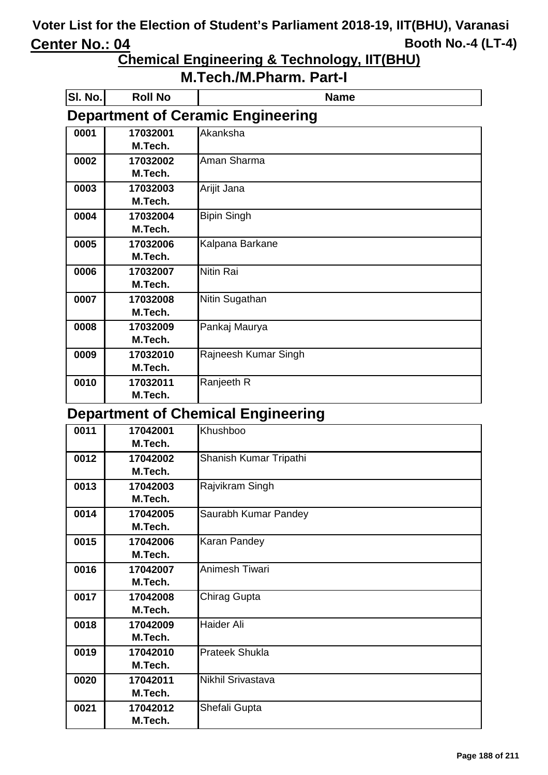## **Chemical Engineering & Technology, IIT(BHU)**

| SI. No. | <b>Roll No</b> | <b>Name</b>                               |
|---------|----------------|-------------------------------------------|
|         |                | <b>Department of Ceramic Engineering</b>  |
| 0001    | 17032001       | Akanksha                                  |
|         | M.Tech.        |                                           |
| 0002    | 17032002       | Aman Sharma                               |
|         | M.Tech.        |                                           |
| 0003    | 17032003       | Arijit Jana                               |
|         | M.Tech.        |                                           |
| 0004    | 17032004       | <b>Bipin Singh</b>                        |
|         | M.Tech.        |                                           |
| 0005    | 17032006       | Kalpana Barkane                           |
|         | M.Tech.        |                                           |
| 0006    | 17032007       | <b>Nitin Rai</b>                          |
|         | M.Tech.        |                                           |
| 0007    | 17032008       | Nitin Sugathan                            |
|         | M.Tech.        |                                           |
| 0008    | 17032009       | Pankaj Maurya                             |
|         | M.Tech.        |                                           |
| 0009    | 17032010       | Rajneesh Kumar Singh                      |
|         | M.Tech.        |                                           |
| 0010    | 17032011       | Ranjeeth R                                |
|         | M.Tech.        |                                           |
|         |                | <b>Department of Chemical Engineering</b> |
| 0011    | 17042001       | Khushboo                                  |
|         | M.Tech.        |                                           |
| 0012    | 17042002       | Shanish Kumar Tripathi                    |
|         | M.Tech.        |                                           |

| 0012 | 17042002 | Shanish Kumar Tripathi |
|------|----------|------------------------|
|      | M.Tech.  |                        |
| 0013 | 17042003 | Rajvikram Singh        |
|      | M.Tech.  |                        |
| 0014 | 17042005 | Saurabh Kumar Pandey   |
|      | M.Tech.  |                        |
| 0015 | 17042006 | Karan Pandey           |
|      | M.Tech.  |                        |
| 0016 | 17042007 | Animesh Tiwari         |
|      | M.Tech.  |                        |
| 0017 | 17042008 | Chirag Gupta           |
|      | M.Tech.  |                        |
| 0018 | 17042009 | <b>Haider Ali</b>      |
|      | M.Tech.  |                        |
| 0019 | 17042010 | <b>Prateek Shukla</b>  |
|      | M.Tech.  |                        |
| 0020 | 17042011 | Nikhil Srivastava      |
|      | M.Tech.  |                        |
| 0021 | 17042012 | Shefali Gupta          |
|      | M.Tech.  |                        |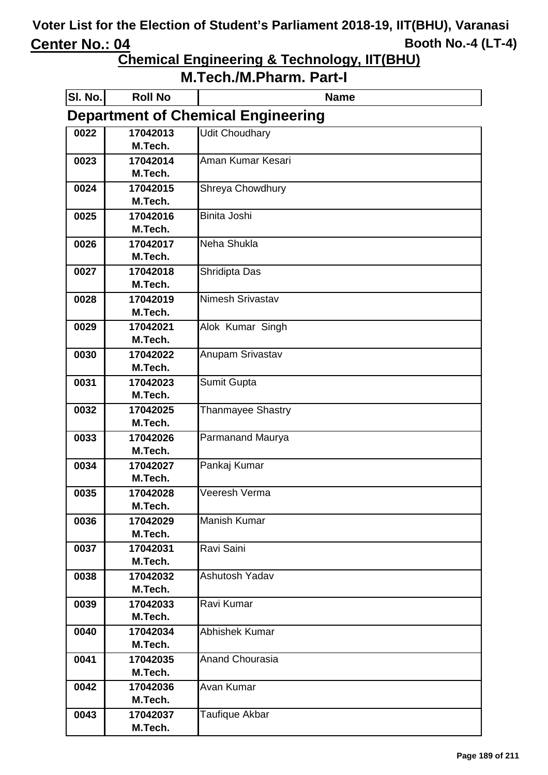**Chemical Engineering & Technology, IIT(BHU)**

| SI. No. | <b>Roll No</b>      | <b>Name</b>                               |
|---------|---------------------|-------------------------------------------|
|         |                     | <b>Department of Chemical Engineering</b> |
| 0022    | 17042013            | <b>Udit Choudhary</b>                     |
|         | M.Tech.             |                                           |
| 0023    | 17042014            | Aman Kumar Kesari                         |
|         | M.Tech.             |                                           |
| 0024    | 17042015            | Shreya Chowdhury                          |
|         | M.Tech.             |                                           |
| 0025    | 17042016<br>M.Tech. | Binita Joshi                              |
| 0026    | 17042017            | Neha Shukla                               |
|         | M.Tech.             |                                           |
| 0027    | 17042018            | Shridipta Das                             |
|         | M.Tech.             |                                           |
| 0028    | 17042019            | Nimesh Srivastav                          |
|         | M.Tech.             |                                           |
| 0029    | 17042021            | Alok Kumar Singh                          |
|         | M.Tech.             |                                           |
| 0030    | 17042022            | Anupam Srivastav                          |
|         | M.Tech.             |                                           |
| 0031    | 17042023            | Sumit Gupta                               |
|         | M.Tech.             |                                           |
| 0032    | 17042025            | <b>Thanmayee Shastry</b>                  |
|         | M.Tech.<br>17042026 |                                           |
| 0033    | M.Tech.             | Parmanand Maurya                          |
| 0034    | 17042027            | Pankaj Kumar                              |
|         | M.Tech.             |                                           |
| 0035    | 17042028            | Veeresh Verma                             |
|         | M.Tech.             |                                           |
| 0036    | 17042029            | Manish Kumar                              |
|         | M.Tech.             |                                           |
| 0037    | 17042031            | Ravi Saini                                |
|         | M.Tech.             |                                           |
| 0038    | 17042032            | Ashutosh Yadav                            |
|         | M.Tech.             |                                           |
| 0039    | 17042033            | Ravi Kumar                                |
|         | M.Tech.             |                                           |
| 0040    | 17042034<br>M.Tech. | Abhishek Kumar                            |
| 0041    | 17042035            | Anand Chourasia                           |
|         | M.Tech.             |                                           |
| 0042    | 17042036            | Avan Kumar                                |
|         | M.Tech.             |                                           |
| 0043    | 17042037            | Taufique Akbar                            |
|         | M.Tech.             |                                           |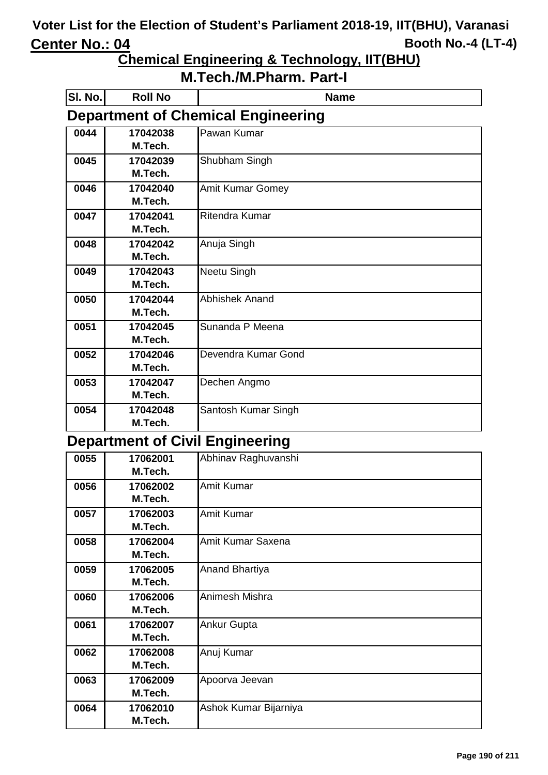**Chemical Engineering & Technology, IIT(BHU)**

| <b>M.Tech./M.Pharm. Part-I</b> |  |  |
|--------------------------------|--|--|
|--------------------------------|--|--|

| SI. No. | <b>Roll No</b> | <b>Name</b>                               |
|---------|----------------|-------------------------------------------|
|         |                | <b>Department of Chemical Engineering</b> |
| 0044    | 17042038       | Pawan Kumar                               |
|         | M.Tech.        |                                           |
| 0045    | 17042039       | Shubham Singh                             |
|         | M.Tech.        |                                           |
| 0046    | 17042040       | <b>Amit Kumar Gomey</b>                   |
|         | M.Tech.        |                                           |
| 0047    | 17042041       | Ritendra Kumar                            |
|         | M.Tech.        |                                           |
| 0048    | 17042042       | Anuja Singh                               |
|         | M.Tech.        |                                           |
| 0049    | 17042043       | <b>Neetu Singh</b>                        |
|         | M.Tech.        |                                           |
| 0050    | 17042044       | <b>Abhishek Anand</b>                     |
|         | M.Tech.        |                                           |
| 0051    | 17042045       | Sunanda P Meena                           |
|         | M.Tech.        |                                           |
| 0052    | 17042046       | Devendra Kumar Gond                       |
|         | M.Tech.        |                                           |
| 0053    | 17042047       | Dechen Angmo                              |
|         | M.Tech.        |                                           |
| 0054    | 17042048       | Santosh Kumar Singh                       |
|         | M.Tech.        |                                           |

#### **Department of Civil Engineering**

| 0055 | 17062001 | Abhinav Raghuvanshi   |
|------|----------|-----------------------|
|      | M.Tech.  |                       |
| 0056 | 17062002 | Amit Kumar            |
|      | M.Tech.  |                       |
| 0057 | 17062003 | Amit Kumar            |
|      | M.Tech.  |                       |
| 0058 | 17062004 | Amit Kumar Saxena     |
|      | M.Tech.  |                       |
| 0059 | 17062005 | Anand Bhartiya        |
|      | M.Tech.  |                       |
| 0060 | 17062006 | Animesh Mishra        |
|      | M.Tech.  |                       |
| 0061 | 17062007 | Ankur Gupta           |
|      | M.Tech.  |                       |
| 0062 | 17062008 | Anuj Kumar            |
|      | M.Tech.  |                       |
| 0063 | 17062009 | Apoorva Jeevan        |
|      | M.Tech.  |                       |
| 0064 | 17062010 | Ashok Kumar Bijarniya |
|      | M.Tech.  |                       |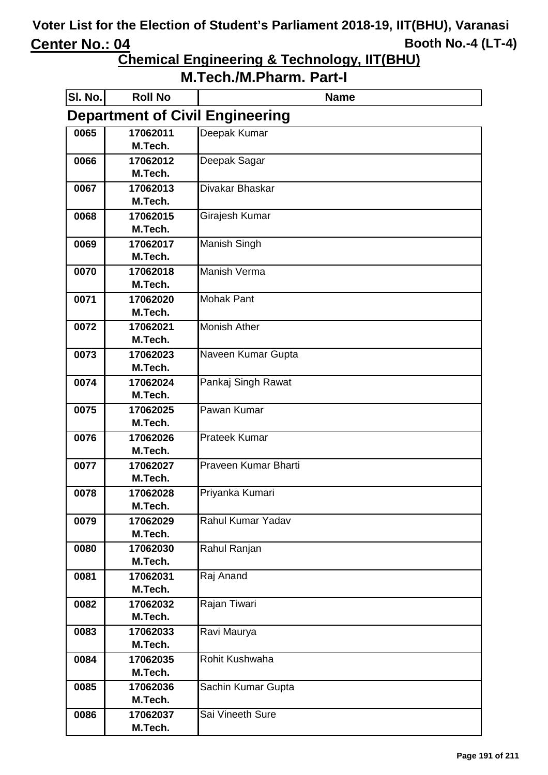**Chemical Engineering & Technology, IIT(BHU)**

| SI. No. | <b>Roll No</b>      | <b>Name</b>                            |
|---------|---------------------|----------------------------------------|
|         |                     | <b>Department of Civil Engineering</b> |
| 0065    | 17062011            | Deepak Kumar                           |
|         | M.Tech.             |                                        |
| 0066    | 17062012<br>M.Tech. | Deepak Sagar                           |
| 0067    | 17062013            | Divakar Bhaskar                        |
|         | M.Tech.             |                                        |
| 0068    | 17062015            | Girajesh Kumar                         |
|         | M.Tech.             |                                        |
| 0069    | 17062017            | <b>Manish Singh</b>                    |
|         | M.Tech.             |                                        |
| 0070    | 17062018            | Manish Verma                           |
|         | M.Tech.             |                                        |
| 0071    | 17062020<br>M.Tech. | Mohak Pant                             |
| 0072    | 17062021            | <b>Monish Ather</b>                    |
|         | M.Tech.             |                                        |
| 0073    | 17062023            | Naveen Kumar Gupta                     |
|         | M.Tech.             |                                        |
| 0074    | 17062024            | Pankaj Singh Rawat                     |
|         | M.Tech.             |                                        |
| 0075    | 17062025            | Pawan Kumar                            |
|         | M.Tech.             |                                        |
| 0076    | 17062026            | <b>Prateek Kumar</b>                   |
| 0077    | M.Tech.<br>17062027 | Praveen Kumar Bharti                   |
|         | M.Tech.             |                                        |
| 0078    | 17062028            | Priyanka Kumari                        |
|         | M.Tech.             |                                        |
| 0079    | 17062029            | Rahul Kumar Yadav                      |
|         | M.Tech.             |                                        |
| 0080    | 17062030            | Rahul Ranjan                           |
|         | M.Tech.             |                                        |
| 0081    | 17062031<br>M.Tech. | Raj Anand                              |
| 0082    | 17062032            | Rajan Tiwari                           |
|         | M.Tech.             |                                        |
| 0083    | 17062033            | Ravi Maurya                            |
|         | M.Tech.             |                                        |
| 0084    | 17062035            | Rohit Kushwaha                         |
|         | M.Tech.             |                                        |
| 0085    | 17062036            | Sachin Kumar Gupta                     |
|         | M.Tech.             |                                        |
| 0086    | 17062037            | Sai Vineeth Sure                       |
|         | M.Tech.             |                                        |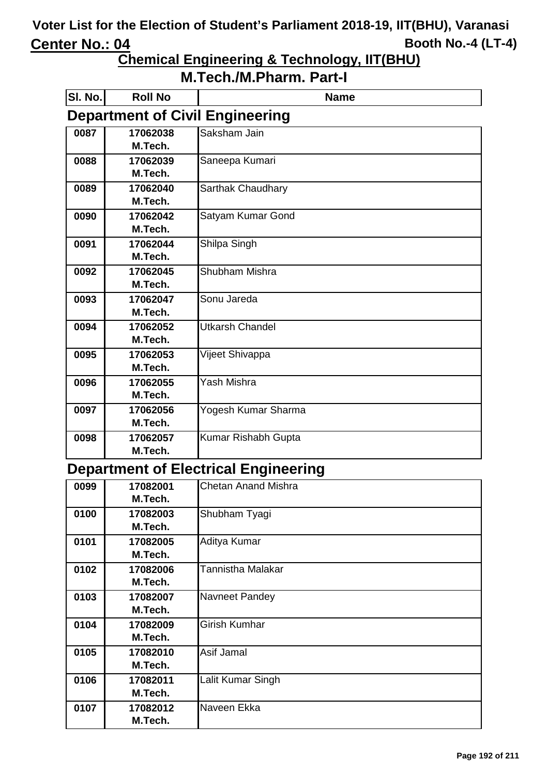**Chemical Engineering & Technology, IIT(BHU)**

### **M.Tech./M.Pharm. Part-I**

| SI. No. | <b>Roll No</b> | <b>Name</b>                            |
|---------|----------------|----------------------------------------|
|         |                | <b>Department of Civil Engineering</b> |
| 0087    | 17062038       | Saksham Jain                           |
|         | M.Tech.        |                                        |
| 0088    | 17062039       | Saneepa Kumari                         |
|         | M.Tech.        |                                        |
| 0089    | 17062040       | Sarthak Chaudhary                      |
|         | M.Tech.        |                                        |
| 0090    | 17062042       | Satyam Kumar Gond                      |
|         | M.Tech.        |                                        |
| 0091    | 17062044       | Shilpa Singh                           |
|         | M.Tech.        |                                        |
| 0092    | 17062045       | Shubham Mishra                         |
|         | M.Tech.        |                                        |
| 0093    | 17062047       | Sonu Jareda                            |
|         | M.Tech.        |                                        |
| 0094    | 17062052       | <b>Utkarsh Chandel</b>                 |
|         | M.Tech.        |                                        |
| 0095    | 17062053       | Vijeet Shivappa                        |
|         | M.Tech.        |                                        |
| 0096    | 17062055       | Yash Mishra                            |
|         | M.Tech.        |                                        |
| 0097    | 17062056       | Yogesh Kumar Sharma                    |
|         | M.Tech.        |                                        |
| 0098    | 17062057       | Kumar Rishabh Gupta                    |
|         | M.Tech.        |                                        |

### **Department of Electrical Engineering**

| 0099 | 17082001 | <b>Chetan Anand Mishra</b> |
|------|----------|----------------------------|
|      | M.Tech.  |                            |
| 0100 | 17082003 | Shubham Tyagi              |
|      | M.Tech.  |                            |
| 0101 | 17082005 | Aditya Kumar               |
|      | M.Tech.  |                            |
| 0102 | 17082006 | Tannistha Malakar          |
|      | M.Tech.  |                            |
| 0103 | 17082007 | Navneet Pandey             |
|      | M.Tech.  |                            |
| 0104 | 17082009 | <b>Girish Kumhar</b>       |
|      | M.Tech.  |                            |
| 0105 | 17082010 | Asif Jamal                 |
|      | M.Tech.  |                            |
| 0106 | 17082011 | Lalit Kumar Singh          |
|      | M.Tech.  |                            |
| 0107 | 17082012 | Naveen Ekka                |
|      | M.Tech.  |                            |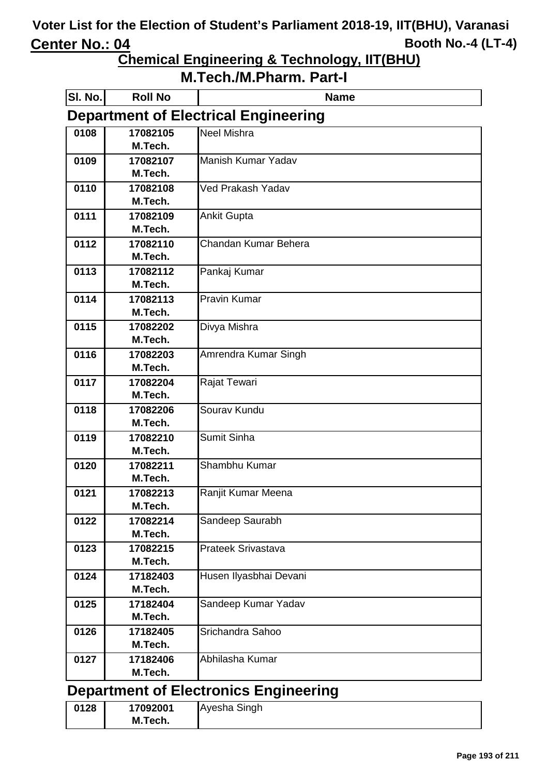**Chemical Engineering & Technology, IIT(BHU)**

**M.Tech./M.Pharm. Part-I**

| SI. No. | <b>Roll No</b>      | <b>Name</b>                                  |
|---------|---------------------|----------------------------------------------|
|         |                     | <b>Department of Electrical Engineering</b>  |
| 0108    | 17082105            | <b>Neel Mishra</b>                           |
|         | M.Tech.             |                                              |
| 0109    | 17082107            | Manish Kumar Yadav                           |
|         | M.Tech.             |                                              |
| 0110    | 17082108            | Ved Prakash Yadav                            |
|         | M.Tech.             |                                              |
| 0111    | 17082109            | <b>Ankit Gupta</b>                           |
|         | M.Tech.             |                                              |
| 0112    | 17082110<br>M.Tech. | Chandan Kumar Behera                         |
|         |                     |                                              |
| 0113    | 17082112<br>M.Tech. | Pankaj Kumar                                 |
| 0114    | 17082113            | <b>Pravin Kumar</b>                          |
|         | M.Tech.             |                                              |
| 0115    | 17082202            | Divya Mishra                                 |
|         | M.Tech.             |                                              |
| 0116    | 17082203            | Amrendra Kumar Singh                         |
|         | M.Tech.             |                                              |
| 0117    | 17082204            | Rajat Tewari                                 |
|         | M.Tech.             |                                              |
| 0118    | 17082206            | Sourav Kundu                                 |
|         | M.Tech.             |                                              |
| 0119    | 17082210            | Sumit Sinha                                  |
|         | M.Tech.             |                                              |
| 0120    | 17082211            | Shambhu Kumar                                |
|         | M.Tech.             |                                              |
| 0121    | 17082213            | Ranjit Kumar Meena                           |
|         | M.Tech.             |                                              |
| 0122    | 17082214            | Sandeep Saurabh                              |
|         | M.Tech.             |                                              |
| 0123    | 17082215            | <b>Prateek Srivastava</b>                    |
|         | M.Tech.             |                                              |
| 0124    | 17182403            | Husen Ilyasbhai Devani                       |
|         | M.Tech.             |                                              |
| 0125    | 17182404<br>M.Tech. | Sandeep Kumar Yadav                          |
| 0126    | 17182405            | Srichandra Sahoo                             |
|         | M.Tech.             |                                              |
| 0127    | 17182406            | Abhilasha Kumar                              |
|         | M.Tech.             |                                              |
|         |                     |                                              |
|         |                     | <b>Department of Electronics Engineering</b> |
| 0128    | 17092001            | Ayesha Singh                                 |

**M.Tech.**

**Page 193 of 211**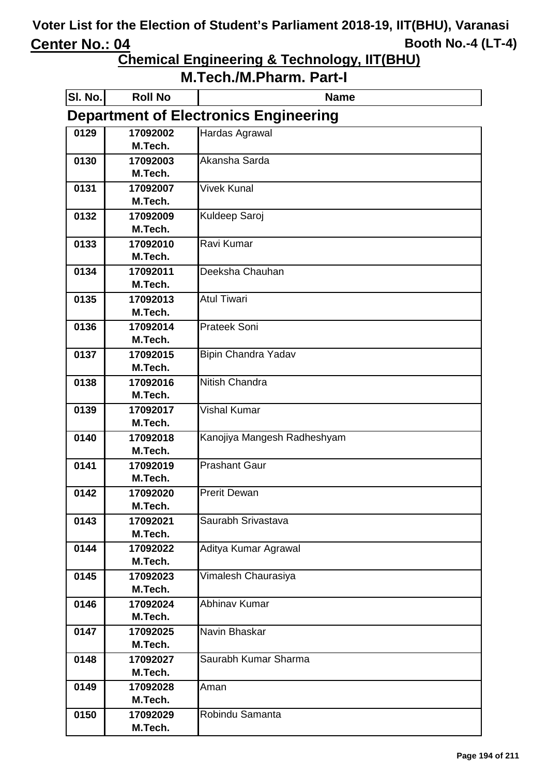**Chemical Engineering & Technology, IIT(BHU)**

| SI. No. | <b>Roll No</b>      | <b>Name</b>                                  |
|---------|---------------------|----------------------------------------------|
|         |                     | <b>Department of Electronics Engineering</b> |
| 0129    | 17092002            | Hardas Agrawal                               |
|         | M.Tech.             |                                              |
| 0130    | 17092003            | Akansha Sarda                                |
|         | M.Tech.             |                                              |
| 0131    | 17092007            | <b>Vivek Kunal</b>                           |
| 0132    | M.Tech.<br>17092009 |                                              |
|         | M.Tech.             | Kuldeep Saroj                                |
| 0133    | 17092010            | Ravi Kumar                                   |
|         | M.Tech.             |                                              |
| 0134    | 17092011            | Deeksha Chauhan                              |
|         | M.Tech.             |                                              |
| 0135    | 17092013            | <b>Atul Tiwari</b>                           |
|         | M.Tech.             |                                              |
| 0136    | 17092014            | Prateek Soni                                 |
|         | M.Tech.             |                                              |
| 0137    | 17092015            | <b>Bipin Chandra Yadav</b>                   |
|         | M.Tech.             |                                              |
| 0138    | 17092016            | Nitish Chandra                               |
|         | M.Tech.             |                                              |
| 0139    | 17092017            | <b>Vishal Kumar</b>                          |
|         | M.Tech.             |                                              |
| 0140    | 17092018            | Kanojiya Mangesh Radheshyam                  |
|         | M.Tech.             |                                              |
| 0141    | 17092019            | <b>Prashant Gaur</b>                         |
|         | M.Tech.             |                                              |
| 0142    | 17092020<br>M.Tech. | <b>Prerit Dewan</b>                          |
| 0143    | 17092021            | Saurabh Srivastava                           |
|         | M.Tech.             |                                              |
| 0144    | 17092022            | Aditya Kumar Agrawal                         |
|         | M.Tech.             |                                              |
| 0145    | 17092023            | Vimalesh Chaurasiya                          |
|         | M.Tech.             |                                              |
| 0146    | 17092024            | Abhinav Kumar                                |
|         | M.Tech.             |                                              |
| 0147    | 17092025            | Navin Bhaskar                                |
|         | M.Tech.             |                                              |
| 0148    | 17092027            | Saurabh Kumar Sharma                         |
|         | M.Tech.             |                                              |
| 0149    | 17092028            | Aman                                         |
|         | M.Tech.             |                                              |
| 0150    | 17092029            | Robindu Samanta                              |
|         | M.Tech.             |                                              |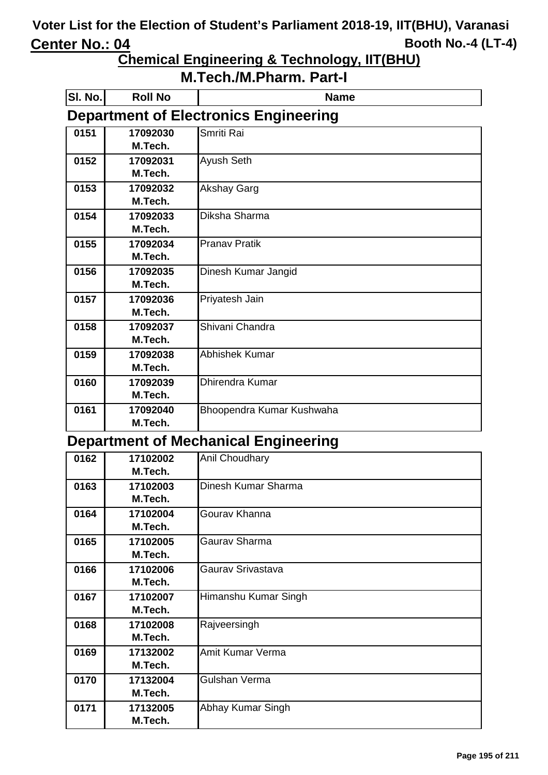### **Chemical Engineering & Technology, IIT(BHU)**

### **M.Tech./M.Pharm. Part-I**

| SI. No. | <b>Roll No</b> | <b>Name</b>                                  |
|---------|----------------|----------------------------------------------|
|         |                | <b>Department of Electronics Engineering</b> |
| 0151    | 17092030       | Smriti Rai                                   |
|         | M.Tech.        |                                              |
| 0152    | 17092031       | Ayush Seth                                   |
|         | M.Tech.        |                                              |
| 0153    | 17092032       | <b>Akshay Garg</b>                           |
|         | M.Tech.        |                                              |
| 0154    | 17092033       | Diksha Sharma                                |
|         | M.Tech.        |                                              |
| 0155    | 17092034       | <b>Pranav Pratik</b>                         |
|         | M.Tech.        |                                              |
| 0156    | 17092035       | Dinesh Kumar Jangid                          |
|         | M.Tech.        |                                              |
| 0157    | 17092036       | Priyatesh Jain                               |
|         | M.Tech.        |                                              |
| 0158    | 17092037       | Shivani Chandra                              |
|         | M.Tech.        |                                              |
| 0159    | 17092038       | Abhishek Kumar                               |
|         | M.Tech.        |                                              |
| 0160    | 17092039       | Dhirendra Kumar                              |
|         | M.Tech.        |                                              |
| 0161    | 17092040       | Bhoopendra Kumar Kushwaha                    |
|         | M.Tech.        |                                              |

#### **Department of Mechanical Engineering**

| 0162 | 17102002 | <b>Anil Choudhary</b> |
|------|----------|-----------------------|
|      | M.Tech.  |                       |
| 0163 | 17102003 | Dinesh Kumar Sharma   |
|      | M.Tech.  |                       |
| 0164 | 17102004 | Gourav Khanna         |
|      | M.Tech.  |                       |
| 0165 | 17102005 | Gaurav Sharma         |
|      | M.Tech.  |                       |
| 0166 | 17102006 | Gauray Srivastava     |
|      | M.Tech.  |                       |
| 0167 | 17102007 | Himanshu Kumar Singh  |
|      | M.Tech.  |                       |
| 0168 | 17102008 | Rajveersingh          |
|      | M.Tech.  |                       |
| 0169 | 17132002 | Amit Kumar Verma      |
|      | M.Tech.  |                       |
| 0170 | 17132004 | Gulshan Verma         |
|      | M.Tech.  |                       |
| 0171 | 17132005 | Abhay Kumar Singh     |
|      | M.Tech.  |                       |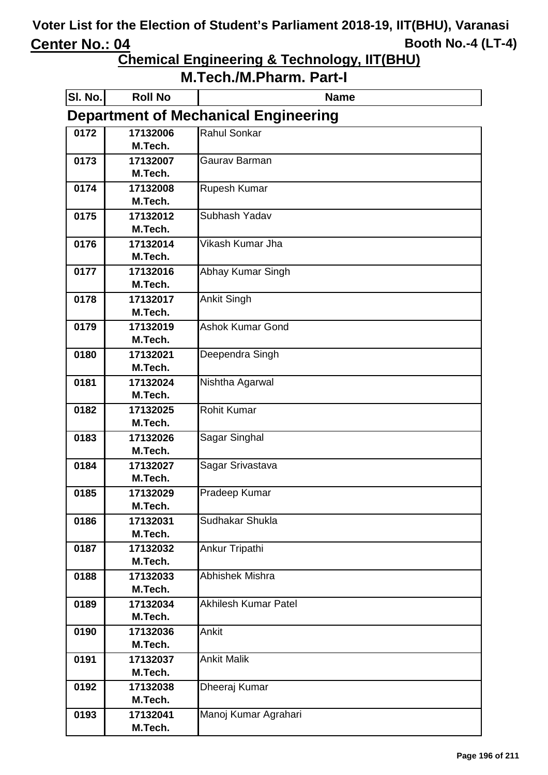**Chemical Engineering & Technology, IIT(BHU)**

| SI. No.                                     | <b>Roll No</b>      | <b>Name</b>                 |
|---------------------------------------------|---------------------|-----------------------------|
| <b>Department of Mechanical Engineering</b> |                     |                             |
| 0172                                        | 17132006            | Rahul Sonkar                |
|                                             | M.Tech.             |                             |
| 0173                                        | 17132007            | Gaurav Barman               |
|                                             | M.Tech.             |                             |
| 0174                                        | 17132008            | Rupesh Kumar                |
|                                             | M.Tech.<br>17132012 | Subhash Yadav               |
| 0175                                        | M.Tech.             |                             |
| 0176                                        | 17132014            | Vikash Kumar Jha            |
|                                             | M.Tech.             |                             |
| 0177                                        | 17132016            | Abhay Kumar Singh           |
|                                             | M.Tech.             |                             |
| 0178                                        | 17132017            | Ankit Singh                 |
|                                             | M.Tech.             |                             |
| 0179                                        | 17132019            | <b>Ashok Kumar Gond</b>     |
|                                             | M.Tech.             |                             |
| 0180                                        | 17132021            | Deependra Singh             |
|                                             | M.Tech.             |                             |
| 0181                                        | 17132024            | Nishtha Agarwal             |
|                                             | M.Tech.             |                             |
| 0182                                        | 17132025            | <b>Rohit Kumar</b>          |
|                                             | M.Tech.             |                             |
| 0183                                        | 17132026            | Sagar Singhal               |
|                                             | M.Tech.             |                             |
| 0184                                        | 17132027<br>M.Tech. | Sagar Srivastava            |
| 0185                                        | 17132029            | Pradeep Kumar               |
|                                             | M.Tech.             |                             |
| 0186                                        | 17132031            | Sudhakar Shukla             |
|                                             | M.Tech.             |                             |
| 0187                                        | 17132032            | Ankur Tripathi              |
|                                             | M.Tech.             |                             |
| 0188                                        | 17132033            | Abhishek Mishra             |
|                                             | M.Tech.             |                             |
| 0189                                        | 17132034            | <b>Akhilesh Kumar Patel</b> |
|                                             | M.Tech.             |                             |
| 0190                                        | 17132036            | Ankit                       |
|                                             | M.Tech.             |                             |
| 0191                                        | 17132037            | <b>Ankit Malik</b>          |
|                                             | M.Tech.             |                             |
| 0192                                        | 17132038<br>M.Tech. | Dheeraj Kumar               |
| 0193                                        | 17132041            | Manoj Kumar Agrahari        |
|                                             | M.Tech.             |                             |
|                                             |                     |                             |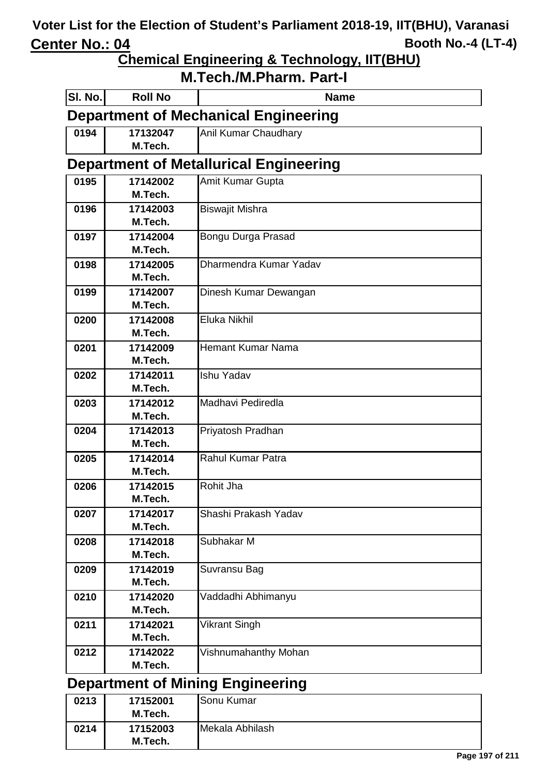**Chemical Engineering & Technology, IIT(BHU)**

| SI. No.                                     | <b>Roll No</b>      | <b>Name</b>                                   |
|---------------------------------------------|---------------------|-----------------------------------------------|
| <b>Department of Mechanical Engineering</b> |                     |                                               |
| 0194                                        | 17132047            | Anil Kumar Chaudhary                          |
|                                             | M.Tech.             |                                               |
|                                             |                     | <b>Department of Metallurical Engineering</b> |
| 0195                                        | 17142002            | Amit Kumar Gupta                              |
|                                             | M.Tech.             |                                               |
| 0196                                        | 17142003            | <b>Biswajit Mishra</b>                        |
|                                             | M.Tech.             |                                               |
| 0197                                        | 17142004            | Bongu Durga Prasad                            |
|                                             | M.Tech.             |                                               |
| 0198                                        | 17142005            | Dharmendra Kumar Yadav                        |
|                                             | M.Tech.             |                                               |
| 0199                                        | 17142007            | Dinesh Kumar Dewangan                         |
|                                             | M.Tech.             |                                               |
| 0200                                        | 17142008<br>M.Tech. | <b>Eluka Nikhil</b>                           |
|                                             |                     | <b>Hemant Kumar Nama</b>                      |
| 0201                                        | 17142009<br>M.Tech. |                                               |
| 0202                                        | 17142011            | <b>Ishu Yadav</b>                             |
|                                             | M.Tech.             |                                               |
| 0203                                        | 17142012            | Madhavi Pediredla                             |
|                                             | M.Tech.             |                                               |
| 0204                                        | 17142013            | Priyatosh Pradhan                             |
|                                             | M.Tech.             |                                               |
| 0205                                        | 17142014            | Rahul Kumar Patra                             |
|                                             | M.Tech.             |                                               |
| 0206                                        | 17142015            | Rohit Jha                                     |
|                                             | M.Tech.             |                                               |
| 0207                                        | 17142017            | Shashi Prakash Yadav                          |
|                                             | M.Tech.             |                                               |
| 0208                                        | 17142018            | Subhakar M                                    |
|                                             | M.Tech.             |                                               |
| 0209                                        | 17142019            | Suvransu Bag                                  |
|                                             | M.Tech.             |                                               |
| 0210                                        | 17142020            | Vaddadhi Abhimanyu                            |
|                                             | M.Tech.             |                                               |
| 0211                                        | 17142021            | Vikrant Singh                                 |
|                                             | M.Tech.             |                                               |
| 0212                                        | 17142022            | Vishnumahanthy Mohan                          |
|                                             | M.Tech.             |                                               |
| <b>Department of Mining Engineering</b>     |                     |                                               |

| 0213 | 17152001 | Sonu Kumar      |
|------|----------|-----------------|
|      | M.Tech.  |                 |
| 0214 | 17152003 | Mekala Abhilash |
|      | M.Tech.  |                 |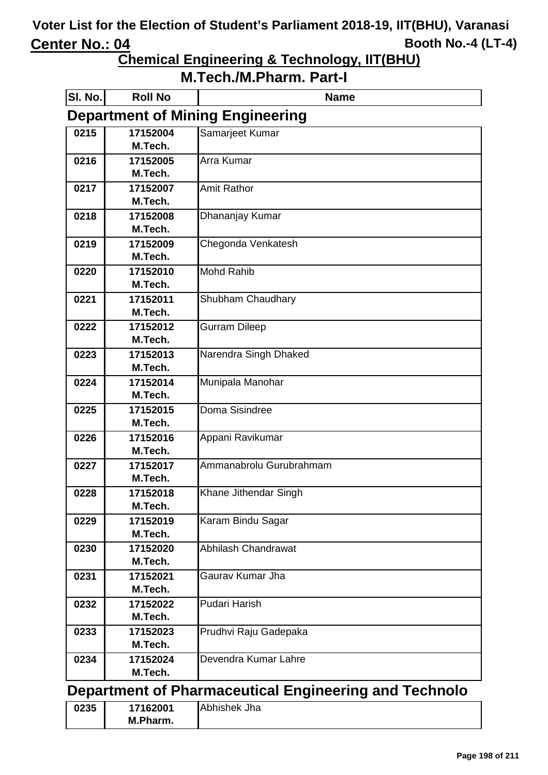**Chemical Engineering & Technology, IIT(BHU)**

**M.Tech./M.Pharm. Part-I**

| <b>SI. No.</b> | <b>Roll No</b>      | <b>Name</b>                                           |
|----------------|---------------------|-------------------------------------------------------|
|                |                     | <b>Department of Mining Engineering</b>               |
| 0215           | 17152004            | Samarjeet Kumar                                       |
|                | M.Tech.             |                                                       |
| 0216           | 17152005            | Arra Kumar                                            |
|                | M.Tech.             |                                                       |
| 0217           | 17152007            | <b>Amit Rathor</b>                                    |
|                | M.Tech.             |                                                       |
| 0218           | 17152008            | Dhananjay Kumar                                       |
|                | M.Tech.             |                                                       |
| 0219           | 17152009            | Chegonda Venkatesh                                    |
|                | M.Tech.             |                                                       |
| 0220           | 17152010            | <b>Mohd Rahib</b>                                     |
|                | M.Tech.             |                                                       |
| 0221           | 17152011            | Shubham Chaudhary                                     |
|                | M.Tech.             |                                                       |
| 0222           | 17152012            | <b>Gurram Dileep</b>                                  |
|                | M.Tech.             |                                                       |
| 0223           | 17152013            | Narendra Singh Dhaked                                 |
|                | M.Tech.             |                                                       |
| 0224           | 17152014            | Munipala Manohar                                      |
|                | M.Tech.             |                                                       |
| 0225           | 17152015            | Doma Sisindree                                        |
|                | M.Tech.             |                                                       |
| 0226           | 17152016<br>M.Tech. | Appani Ravikumar                                      |
|                |                     | Ammanabrolu Gurubrahmam                               |
| 0227           | 17152017<br>M.Tech. |                                                       |
| 0228           | 17152018            | Khane Jithendar Singh                                 |
|                | M.Tech.             |                                                       |
| 0229           | 17152019            | Karam Bindu Sagar                                     |
|                | M.Tech.             |                                                       |
| 0230           | 17152020            | Abhilash Chandrawat                                   |
|                | M.Tech.             |                                                       |
| 0231           | 17152021            | Gaurav Kumar Jha                                      |
|                | M.Tech.             |                                                       |
| 0232           | 17152022            | Pudari Harish                                         |
|                | M.Tech.             |                                                       |
| 0233           | 17152023            | Prudhvi Raju Gadepaka                                 |
|                | M.Tech.             |                                                       |
| 0234           | 17152024            | Devendra Kumar Lahre                                  |
|                | M.Tech.             |                                                       |
|                |                     | Department of Pharmaceutical Engineering and Technolo |
| 0235           | 17162001            | Abhishek Jha                                          |

**M.Pharm.**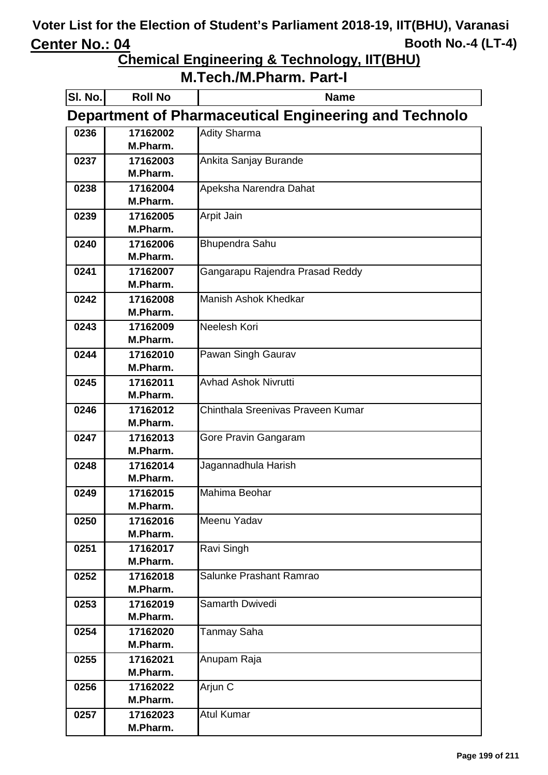**Chemical Engineering & Technology, IIT(BHU)**

| SI. No. | <b>Roll No</b>                                               | <b>Name</b>                       |  |
|---------|--------------------------------------------------------------|-----------------------------------|--|
|         | <b>Department of Pharmaceutical Engineering and Technolo</b> |                                   |  |
| 0236    | 17162002                                                     | <b>Adity Sharma</b>               |  |
|         | M.Pharm.                                                     |                                   |  |
| 0237    | 17162003                                                     | Ankita Sanjay Burande             |  |
|         | M.Pharm.                                                     |                                   |  |
| 0238    | 17162004                                                     | Apeksha Narendra Dahat            |  |
|         | M.Pharm.                                                     |                                   |  |
| 0239    | 17162005                                                     | Arpit Jain                        |  |
|         | M.Pharm.                                                     |                                   |  |
| 0240    | 17162006                                                     | <b>Bhupendra Sahu</b>             |  |
|         | M.Pharm.                                                     |                                   |  |
| 0241    | 17162007                                                     | Gangarapu Rajendra Prasad Reddy   |  |
|         | M.Pharm.                                                     |                                   |  |
| 0242    | 17162008                                                     | <b>Manish Ashok Khedkar</b>       |  |
|         | M.Pharm.                                                     |                                   |  |
| 0243    | 17162009                                                     | Neelesh Kori                      |  |
|         | M.Pharm.                                                     |                                   |  |
| 0244    | 17162010                                                     | Pawan Singh Gaurav                |  |
|         | M.Pharm.                                                     |                                   |  |
| 0245    | 17162011                                                     | <b>Avhad Ashok Nivrutti</b>       |  |
|         | M.Pharm.                                                     |                                   |  |
| 0246    | 17162012                                                     | Chinthala Sreenivas Praveen Kumar |  |
|         | M.Pharm.                                                     |                                   |  |
| 0247    | 17162013                                                     | Gore Pravin Gangaram              |  |
|         | M.Pharm.                                                     |                                   |  |
| 0248    | 17162014                                                     | Jagannadhula Harish               |  |
|         | M.Pharm.                                                     |                                   |  |
| 0249    | 17162015                                                     | Mahima Beohar                     |  |
|         | M.Pharm.                                                     |                                   |  |
| 0250    | 17162016                                                     | Meenu Yadav                       |  |
|         | M.Pharm.                                                     |                                   |  |
| 0251    | 17162017                                                     | Ravi Singh                        |  |
|         | M.Pharm.                                                     |                                   |  |
| 0252    | 17162018<br>M.Pharm.                                         | Salunke Prashant Ramrao           |  |
|         |                                                              | Samarth Dwivedi                   |  |
| 0253    | 17162019<br>M.Pharm.                                         |                                   |  |
|         | 17162020                                                     |                                   |  |
| 0254    | M.Pharm.                                                     | <b>Tanmay Saha</b>                |  |
| 0255    | 17162021                                                     | Anupam Raja                       |  |
|         | M.Pharm.                                                     |                                   |  |
| 0256    | 17162022                                                     | Arjun C                           |  |
|         | M.Pharm.                                                     |                                   |  |
| 0257    | 17162023                                                     | <b>Atul Kumar</b>                 |  |
|         | M.Pharm.                                                     |                                   |  |
|         |                                                              |                                   |  |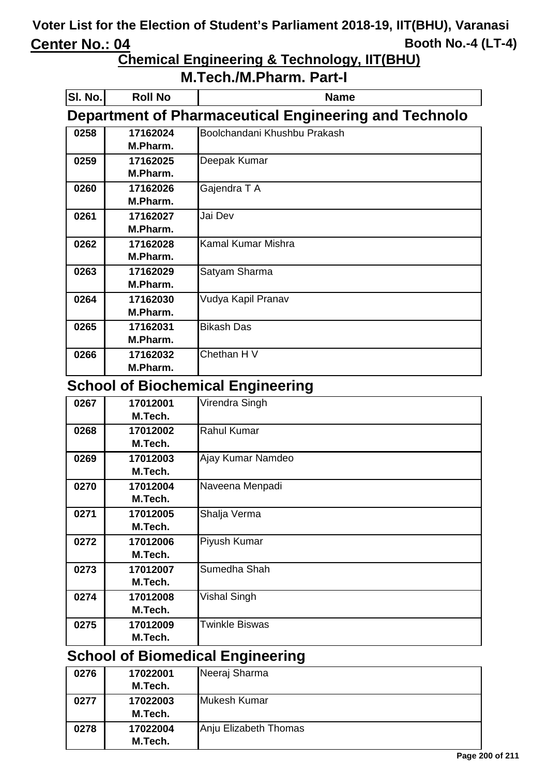## **Chemical Engineering & Technology, IIT(BHU)**

### **M.Tech./M.Pharm. Part-I**

| SI. No.                                                      | <b>Roll No</b> | <b>Name</b>                              |
|--------------------------------------------------------------|----------------|------------------------------------------|
| <b>Department of Pharmaceutical Engineering and Technolo</b> |                |                                          |
| 0258                                                         | 17162024       | Boolchandani Khushbu Prakash             |
|                                                              | M.Pharm.       |                                          |
| 0259                                                         | 17162025       | Deepak Kumar                             |
|                                                              | M.Pharm.       |                                          |
| 0260                                                         | 17162026       | Gajendra T A                             |
|                                                              | M.Pharm.       |                                          |
| 0261                                                         | 17162027       | Jai Dev                                  |
|                                                              | M.Pharm.       |                                          |
| 0262                                                         | 17162028       | Kamal Kumar Mishra                       |
|                                                              | M.Pharm.       |                                          |
| 0263                                                         | 17162029       | Satyam Sharma                            |
|                                                              | M.Pharm.       |                                          |
| 0264                                                         | 17162030       | Vudya Kapil Pranav                       |
|                                                              | M.Pharm.       |                                          |
| 0265                                                         | 17162031       | <b>Bikash Das</b>                        |
|                                                              | M.Pharm.       |                                          |
| 0266                                                         | 17162032       | Chethan H V                              |
|                                                              | M.Pharm.       |                                          |
|                                                              |                | <b>School of Biochemical Engineering</b> |
| 0267                                                         | 17012001       | Virendra Singh                           |
|                                                              | M.Tech.        |                                          |
| 0268                                                         | 17012002       | <b>Rahul Kumar</b>                       |
|                                                              | M.Tech.        |                                          |
| 0269                                                         | 17012003       | Ajay Kumar Namdeo                        |
|                                                              | M.Tech.        |                                          |
| 0270                                                         | 17012004       | Naveena Menpadi                          |
|                                                              | M.Tech.        |                                          |
| 0271                                                         | 17012005       | Shalja Verma                             |
|                                                              | M.Tech.        |                                          |
| 0272                                                         | 17012006       | Piyush Kumar                             |

|      | M.Tech.  |                       |
|------|----------|-----------------------|
| 0273 | 17012007 | Sumedha Shah          |
|      | M.Tech.  |                       |
| 0274 | 17012008 | <b>Vishal Singh</b>   |
|      | M.Tech.  |                       |
| 0275 | 17012009 | <b>Twinkle Biswas</b> |
|      | M.Tech.  |                       |

# **School of Biomedical Engineering**

| 0276 | 17022001 | Neeraj Sharma         |
|------|----------|-----------------------|
|      | M.Tech.  |                       |
| 0277 | 17022003 | <b>Mukesh Kumar</b>   |
|      | M.Tech.  |                       |
| 0278 | 17022004 | Anju Elizabeth Thomas |
|      | M.Tech.  |                       |